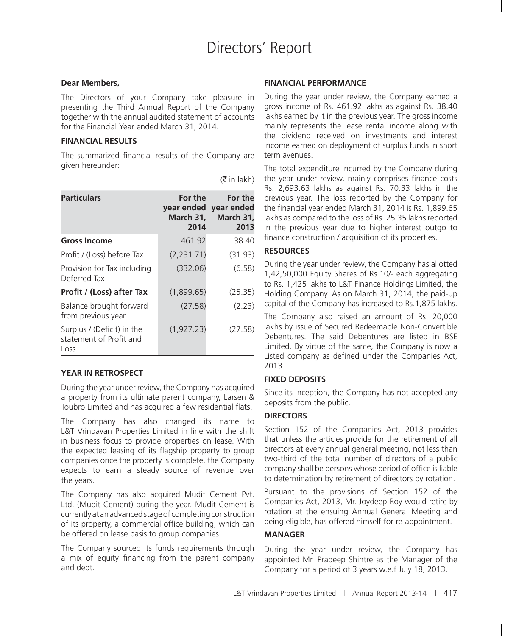#### **Dear Members,**

The Directors of your Company take pleasure in presenting the Third Annual Report of the Company together with the annual audited statement of accounts for the Financial Year ended March 31, 2014.

#### **FINANCIAL RESULTS**

The summarized financial results of the Company are given hereunder:

| <b>Particulars</b>                                            | For the<br>March 31,<br>2014 | For the<br>year ended year ended<br>March 31,<br>2013 |
|---------------------------------------------------------------|------------------------------|-------------------------------------------------------|
| <b>Gross Income</b>                                           | 461.92                       | 38.40                                                 |
| Profit / (Loss) before Tax                                    | (2,231.71)                   | (31.93)                                               |
| Provision for Tax including<br>Deferred Tax                   | (332.06)                     | (6.58)                                                |
| Profit / (Loss) after Tax                                     | (1,899.65)                   | (25.35)                                               |
| Balance brought forward<br>from previous year                 | (27.58)                      | (2.23)                                                |
| Surplus / (Deficit) in the<br>statement of Profit and<br>Loss | (1, 927.23)                  | (27.58)                                               |

# $(\bar{\bar{\mathbf{x}}}$  in lakh)

#### **YEAR IN RETROSPECT**

During the year under review, the Company has acquired a property from its ultimate parent company, Larsen & Toubro Limited and has acquired a few residential flats.

The Company has also changed its name to L&T Vrindavan Properties Limited in line with the shift in business focus to provide properties on lease. With the expected leasing of its flagship property to group companies once the property is complete, the Company expects to earn a steady source of revenue over the years.

The Company has also acquired Mudit Cement Pvt. Ltd. (Mudit Cement) during the year. Mudit Cement is currently at an advanced stage of completing construction of its property, a commercial office building, which can be offered on lease basis to group companies.

The Company sourced its funds requirements through a mix of equity financing from the parent company and debt.

#### **FINANCIAL PERFORMANCE**

During the year under review, the Company earned a gross income of Rs. 461.92 lakhs as against Rs. 38.40 lakhs earned by it in the previous year. The gross income mainly represents the lease rental income along with the dividend received on investments and interest income earned on deployment of surplus funds in short term avenues.

The total expenditure incurred by the Company during the year under review, mainly comprises finance costs Rs. 2,693.63 lakhs as against Rs. 70.33 lakhs in the previous year. The loss reported by the Company for the financial year ended March 31, 2014 is Rs. 1,899.65 lakhs as compared to the loss of Rs. 25.35 lakhs reported in the previous year due to higher interest outgo to finance construction / acquisition of its properties.

# **RESOURCES**

During the year under review, the Company has allotted 1,42,50,000 Equity Shares of Rs.10/- each aggregating to Rs. 1,425 lakhs to L&T Finance Holdings Limited, the Holding Company. As on March 31, 2014, the paid-up capital of the Company has increased to Rs.1,875 lakhs.

The Company also raised an amount of Rs. 20,000 lakhs by issue of Secured Redeemable Non-Convertible Debentures. The said Debentures are listed in BSE Limited. By virtue of the same, the Company is now a Listed company as defined under the Companies Act, 2013.

# **FIXED DEPOSITS**

Since its inception, the Company has not accepted any deposits from the public.

#### **DIRECTORS**

Section 152 of the Companies Act, 2013 provides that unless the articles provide for the retirement of all directors at every annual general meeting, not less than two-third of the total number of directors of a public company shall be persons whose period of office is liable to determination by retirement of directors by rotation.

Pursuant to the provisions of Section 152 of the Companies Act, 2013, Mr. Joydeep Roy would retire by rotation at the ensuing Annual General Meeting and being eligible, has offered himself for re-appointment.

#### **MANAGER**

During the year under review, the Company has appointed Mr. Pradeep Shintre as the Manager of the Company for a period of 3 years w.e.f July 18, 2013.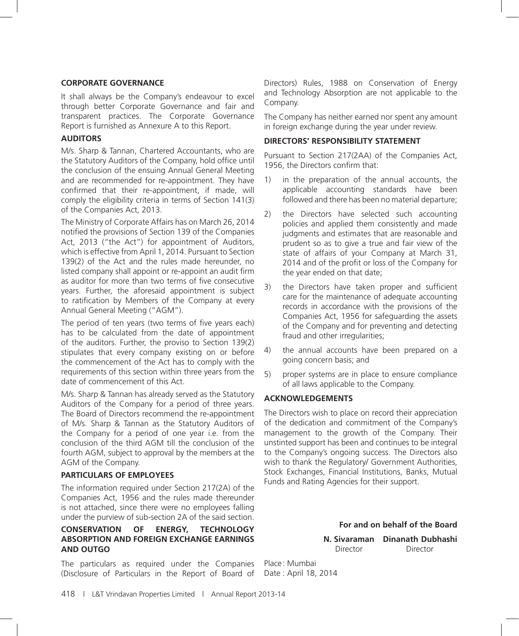#### **CORPORATE GOVERNANCE**

It shall always be the Company's endeavour to excel through better Corporate Governance and fair and transparent practices. The Corporate Governance Report is furnished as Annexure A to this Report.

#### **AUDITORS**

M/s. Sharp & Tannan, Chartered Accountants, who are the Statutory Auditors of the Company, hold office until the conclusion of the ensuing Annual General Meeting and are recommended for re-appointment. They have confirmed that their re-appointment, if made, will comply the eligibility criteria in terms of Section 141(3) of the Companies Act, 2013.

The Ministry of Corporate Affairs has on March 26, 2014 notified the provisions of Section 139 of the Companies Act, 2013 ("the Act") for appointment of Auditors, which is effective from April 1, 2014. Pursuant to Section 139(2) of the Act and the rules made hereunder, no listed company shall appoint or re-appoint an audit firm as auditor for more than two terms of five consecutive years. Further, the aforesaid appointment is subject to ratification by Members of the Company at every Annual General Meeting ("AGM").

The period of ten years (two terms of five years each) has to be calculated from the date of appointment of the auditors. Further, the proviso to Section 139(2) stipulates that every company existing on or before the commencement of the Act has to comply with the requirements of this section within three years from the date of commencement of this Act.

M/s. Sharp & Tannan has already served as the Statutory Auditors of the Company for a period of three years. The Board of Directors recommend the re-appointment of M/s. Sharp & Tannan as the Statutory Auditors of the Company for a period of one year i.e. from the conclusion of the third AGM till the conclusion of the fourth AGM, subject to approval by the members at the AGM of the Company.

#### **PARTICULARS OF EMPLOYEES**

The information required under Section 217(2A) of the Companies Act, 1956 and the rules made thereunder is not attached, since there were no employees falling under the purview of sub-section 2A of the said section.

#### **CONSERVATION OF ENERGY, TECHNOLOGY ABSORPTION AND FOREIGN EXCHANGE EARNINGS AND OUTGO**

The particulars as required under the Companies (Disclosure of Particulars in the Report of Board of

Directors) Rules, 1988 on Conservation of Energy and Technology Absorption are not applicable to the Company.

The Company has neither earned nor spent any amount in foreign exchange during the year under review.

#### **DIRECTORS' RESPONSIBILITY STATEMENT**

Pursuant to Section 217(2AA) of the Companies Act, 1956, the Directors confirm that:

- 1) in the preparation of the annual accounts, the applicable accounting standards have been followed and there has been no material departure;
- 2) the Directors have selected such accounting policies and applied them consistently and made judgments and estimates that are reasonable and prudent so as to give a true and fair view of the state of affairs of your Company at March 31, 2014 and of the profit or loss of the Company for the year ended on that date;
- 3) the Directors have taken proper and sufficient care for the maintenance of adequate accounting records in accordance with the provisions of the Companies Act, 1956 for safeguarding the assets of the Company and for preventing and detecting fraud and other irregularities;
- 4) the annual accounts have been prepared on a going concern basis; and
- 5) proper systems are in place to ensure compliance of all laws applicable to the Company.

#### **ACKNOWLEDGEMENTS**

The Directors wish to place on record their appreciation of the dedication and commitment of the Company's management to the growth of the Company. Their unstinted support has been and continues to be integral to the Company's ongoing success. The Directors also wish to thank the Regulatory/ Government Authorities, Stock Exchanges, Financial Institutions, Banks, Mutual Funds and Rating Agencies for their support.

> **For and on behalf of the Board N. Sivaraman Dinanath Dubhashi**  Director Director

Place : Mumbai Date : April 18, 2014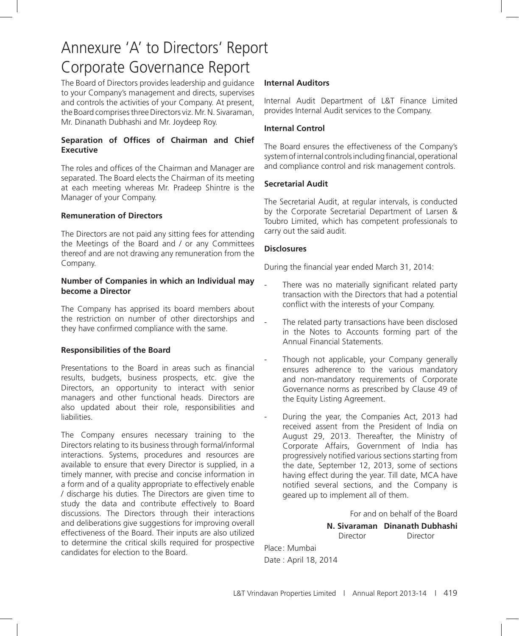# Annexure 'A' to Directors' Report Corporate Governance Report

The Board of Directors provides leadership and guidance to your Company's management and directs, supervises and controls the activities of your Company. At present, the Board comprises three Directors viz. Mr. N. Sivaraman, Mr. Dinanath Dubhashi and Mr. Joydeep Roy.

# **Separation of Offices of Chairman and Chief Executive**

The roles and offices of the Chairman and Manager are separated. The Board elects the Chairman of its meeting at each meeting whereas Mr. Pradeep Shintre is the Manager of your Company.

## **Remuneration of Directors**

The Directors are not paid any sitting fees for attending the Meetings of the Board and / or any Committees thereof and are not drawing any remuneration from the Company.

#### **Number of Companies in which an Individual may become a Director**

The Company has apprised its board members about the restriction on number of other directorships and they have confirmed compliance with the same.

# **Responsibilities of the Board**

Presentations to the Board in areas such as financial results, budgets, business prospects, etc. give the Directors, an opportunity to interact with senior managers and other functional heads. Directors are also updated about their role, responsibilities and liabilities.

The Company ensures necessary training to the Directors relating to its business through formal/informal interactions. Systems, procedures and resources are available to ensure that every Director is supplied, in a timely manner, with precise and concise information in a form and of a quality appropriate to effectively enable / discharge his duties. The Directors are given time to study the data and contribute effectively to Board discussions. The Directors through their interactions and deliberations give suggestions for improving overall effectiveness of the Board. Their inputs are also utilized to determine the critical skills required for prospective candidates for election to the Board.

# **Internal Auditors**

Internal Audit Department of L&T Finance Limited provides Internal Audit services to the Company.

## **Internal Control**

The Board ensures the effectiveness of the Company's system of internal controls including financial, operational and compliance control and risk management controls.

# **Secretarial Audit**

The Secretarial Audit, at regular intervals, is conducted by the Corporate Secretarial Department of Larsen & Toubro Limited, which has competent professionals to carry out the said audit.

#### **Disclosures**

During the financial year ended March 31, 2014:

- There was no materially significant related party transaction with the Directors that had a potential conflict with the interests of your Company.
- The related party transactions have been disclosed in the Notes to Accounts forming part of the Annual Financial Statements.
- Though not applicable, your Company generally ensures adherence to the various mandatory and non-mandatory requirements of Corporate Governance norms as prescribed by Clause 49 of the Equity Listing Agreement.
- During the year, the Companies Act, 2013 had received assent from the President of India on August 29, 2013. Thereafter, the Ministry of Corporate Affairs, Government of India has progressively notified various sections starting from the date, September 12, 2013, some of sections having effect during the year. Till date, MCA have notified several sections, and the Company is geared up to implement all of them.

For and on behalf of the Board

 **N. Sivaraman Dinanath Dubhashi**  Director Director

Place : Mumbai Date : April 18, 2014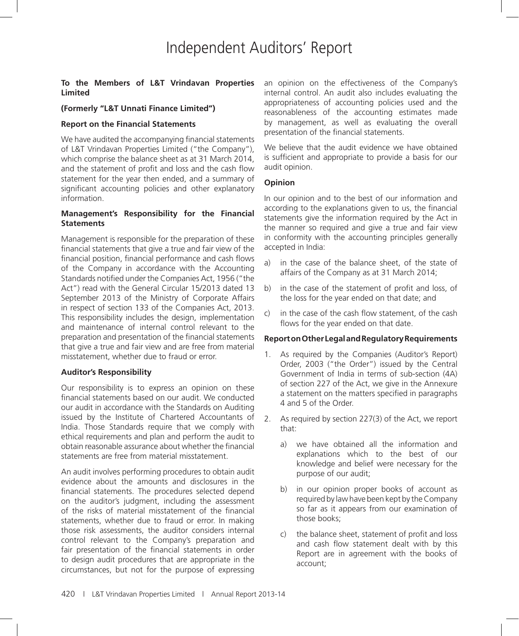#### **To the Members of L&T Vrindavan Properties Limited**

#### **(Formerly "L&T Unnati Finance Limited")**

#### **Report on the Financial Statements**

We have audited the accompanying financial statements of L&T Vrindavan Properties Limited ("the Company"), which comprise the balance sheet as at 31 March 2014, and the statement of profit and loss and the cash flow statement for the year then ended, and a summary of significant accounting policies and other explanatory information.

#### **Management's Responsibility for the Financial Statements**

Management is responsible for the preparation of these financial statements that give a true and fair view of the financial position, financial performance and cash flows of the Company in accordance with the Accounting Standards notified under the Companies Act, 1956 ("the Act") read with the General Circular 15/2013 dated 13 September 2013 of the Ministry of Corporate Affairs in respect of section 133 of the Companies Act, 2013. This responsibility includes the design, implementation and maintenance of internal control relevant to the preparation and presentation of the financial statements that give a true and fair view and are free from material misstatement, whether due to fraud or error.

#### **Auditor's Responsibility**

Our responsibility is to express an opinion on these financial statements based on our audit. We conducted our audit in accordance with the Standards on Auditing issued by the Institute of Chartered Accountants of India. Those Standards require that we comply with ethical requirements and plan and perform the audit to obtain reasonable assurance about whether the financial statements are free from material misstatement.

An audit involves performing procedures to obtain audit evidence about the amounts and disclosures in the financial statements. The procedures selected depend on the auditor's judgment, including the assessment of the risks of material misstatement of the financial statements, whether due to fraud or error. In making those risk assessments, the auditor considers internal control relevant to the Company's preparation and fair presentation of the financial statements in order to design audit procedures that are appropriate in the circumstances, but not for the purpose of expressing

an opinion on the effectiveness of the Company's internal control. An audit also includes evaluating the appropriateness of accounting policies used and the reasonableness of the accounting estimates made by management, as well as evaluating the overall presentation of the financial statements.

We believe that the audit evidence we have obtained is sufficient and appropriate to provide a basis for our audit opinion.

#### **Opinion**

In our opinion and to the best of our information and according to the explanations given to us, the financial statements give the information required by the Act in the manner so required and give a true and fair view in conformity with the accounting principles generally accepted in India:

- a) in the case of the balance sheet, of the state of affairs of the Company as at 31 March 2014;
- b) in the case of the statement of profit and loss, of the loss for the year ended on that date; and
- c) in the case of the cash flow statement, of the cash flows for the year ended on that date.

#### **Report on Other Legal and Regulatory Requirements**

- 1. As required by the Companies (Auditor's Report) Order, 2003 ("the Order") issued by the Central Government of India in terms of sub-section (4A) of section 227 of the Act, we give in the Annexure a statement on the matters specified in paragraphs 4 and 5 of the Order.
- 2. As required by section 227(3) of the Act, we report that:
	- a) we have obtained all the information and explanations which to the best of our knowledge and belief were necessary for the purpose of our audit;
	- b) in our opinion proper books of account as required by law have been kept by the Company so far as it appears from our examination of those books;
	- c) the balance sheet, statement of profit and loss and cash flow statement dealt with by this Report are in agreement with the books of account;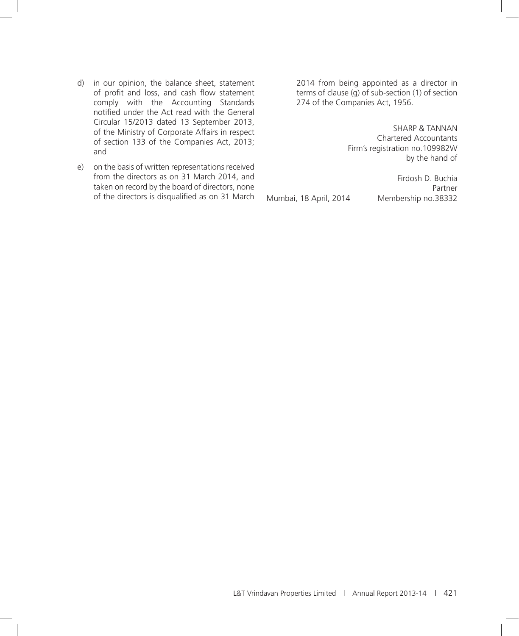- d) in our opinion, the balance sheet, statement of profit and loss, and cash flow statement comply with the Accounting Standards notified under the Act read with the General Circular 15/2013 dated 13 September 2013, of the Ministry of Corporate Affairs in respect of section 133 of the Companies Act, 2013; and
- e) on the basis of written representations received from the directors as on 31 March 2014, and taken on record by the board of directors, none of the directors is disqualified as on 31 March

2014 from being appointed as a director in terms of clause (g) of sub-section (1) of section 274 of the Companies Act, 1956.

> SHARP & TANNAN Chartered Accountants Firm's registration no.109982W by the hand of

Mumbai, 18 April, 2014 Membership no.38332

Firdosh D. Buchia Partner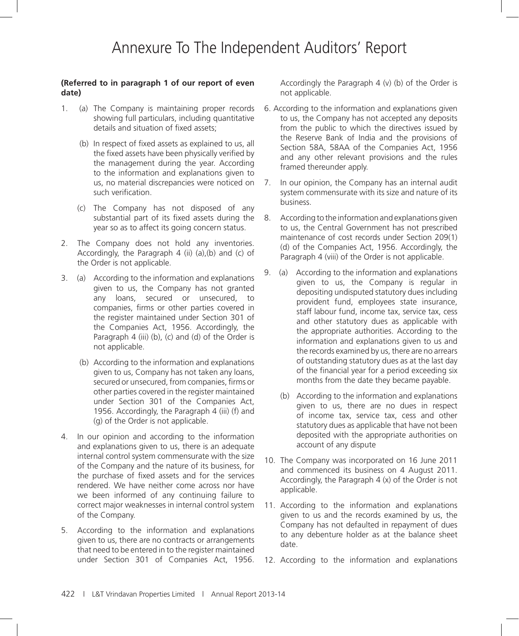#### **(Referred to in paragraph 1 of our report of even date)**

- 1. (a) The Company is maintaining proper records showing full particulars, including quantitative details and situation of fixed assets;
	- (b) In respect of fixed assets as explained to us, all the fixed assets have been physically verified by the management during the year. According to the information and explanations given to us, no material discrepancies were noticed on such verification.
	- (c) The Company has not disposed of any substantial part of its fixed assets during the year so as to affect its going concern status.
- 2. The Company does not hold any inventories. Accordingly, the Paragraph 4 (ii) (a),(b) and (c) of the Order is not applicable.
- 3. (a) According to the information and explanations given to us, the Company has not granted any loans, secured or unsecured, to companies, firms or other parties covered in the register maintained under Section 301 of the Companies Act, 1956. Accordingly, the Paragraph 4 (iii) (b), (c) and (d) of the Order is not applicable.
	- (b) According to the information and explanations given to us, Company has not taken any loans, secured or unsecured, from companies, firms or other parties covered in the register maintained under Section 301 of the Companies Act, 1956. Accordingly, the Paragraph 4 (iii) (f) and (g) of the Order is not applicable.
- 4. In our opinion and according to the information and explanations given to us, there is an adequate internal control system commensurate with the size of the Company and the nature of its business, for the purchase of fixed assets and for the services rendered. We have neither come across nor have we been informed of any continuing failure to correct major weaknesses in internal control system of the Company.
- 5. According to the information and explanations given to us, there are no contracts or arrangements that need to be entered in to the register maintained under Section 301 of Companies Act, 1956.

Accordingly the Paragraph 4 (v) (b) of the Order is not applicable.

- 6. According to the information and explanations given to us, the Company has not accepted any deposits from the public to which the directives issued by the Reserve Bank of India and the provisions of Section 58A, 58AA of the Companies Act, 1956 and any other relevant provisions and the rules framed thereunder apply.
- 7. In our opinion, the Company has an internal audit system commensurate with its size and nature of its business.
- 8. According to the information and explanations given to us, the Central Government has not prescribed maintenance of cost records under Section 209(1) (d) of the Companies Act, 1956. Accordingly, the Paragraph 4 (viii) of the Order is not applicable.
- 9. (a) According to the information and explanations given to us, the Company is regular in depositing undisputed statutory dues including provident fund, employees state insurance, staff labour fund, income tax, service tax, cess and other statutory dues as applicable with the appropriate authorities. According to the information and explanations given to us and the records examined by us, there are no arrears of outstanding statutory dues as at the last day of the financial year for a period exceeding six months from the date they became payable.
	- (b) According to the information and explanations given to us, there are no dues in respect of income tax, service tax, cess and other statutory dues as applicable that have not been deposited with the appropriate authorities on account of any dispute
- 10. The Company was incorporated on 16 June 2011 and commenced its business on 4 August 2011. Accordingly, the Paragraph 4 (x) of the Order is not applicable.
- 11. According to the information and explanations given to us and the records examined by us, the Company has not defaulted in repayment of dues to any debenture holder as at the balance sheet date.
- 12. According to the information and explanations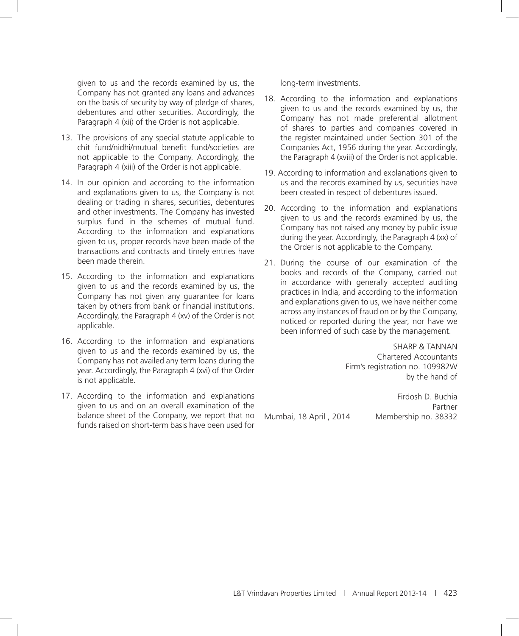given to us and the records examined by us, the Company has not granted any loans and advances on the basis of security by way of pledge of shares, debentures and other securities. Accordingly, the Paragraph 4 (xii) of the Order is not applicable.

- 13. The provisions of any special statute applicable to chit fund/nidhi/mutual benefit fund/societies are not applicable to the Company. Accordingly, the Paragraph 4 (xiii) of the Order is not applicable.
- 14. In our opinion and according to the information and explanations given to us, the Company is not dealing or trading in shares, securities, debentures and other investments. The Company has invested surplus fund in the schemes of mutual fund. According to the information and explanations given to us, proper records have been made of the transactions and contracts and timely entries have been made therein.
- 15. According to the information and explanations given to us and the records examined by us, the Company has not given any guarantee for loans taken by others from bank or financial institutions. Accordingly, the Paragraph 4 (xv) of the Order is not applicable.
- 16. According to the information and explanations given to us and the records examined by us, the Company has not availed any term loans during the year. Accordingly, the Paragraph 4 (xvi) of the Order is not applicable.
- 17. According to the information and explanations given to us and on an overall examination of the balance sheet of the Company, we report that no funds raised on short-term basis have been used for

long-term investments.

- 18. According to the information and explanations given to us and the records examined by us, the Company has not made preferential allotment of shares to parties and companies covered in the register maintained under Section 301 of the Companies Act, 1956 during the year. Accordingly, the Paragraph 4 (xviii) of the Order is not applicable.
- 19. According to information and explanations given to us and the records examined by us, securities have been created in respect of debentures issued.
- 20. According to the information and explanations given to us and the records examined by us, the Company has not raised any money by public issue during the year. Accordingly, the Paragraph 4 (xx) of the Order is not applicable to the Company.
- 21. During the course of our examination of the books and records of the Company, carried out in accordance with generally accepted auditing practices in India, and according to the information and explanations given to us, we have neither come across any instances of fraud on or by the Company, noticed or reported during the year, nor have we been informed of such case by the management.

 SHARP & TANNAN Chartered Accountants Firm's registration no. 109982W by the hand of

Firdosh D. Buchia Partner Mumbai, 18 April , 2014 Membership no. 38332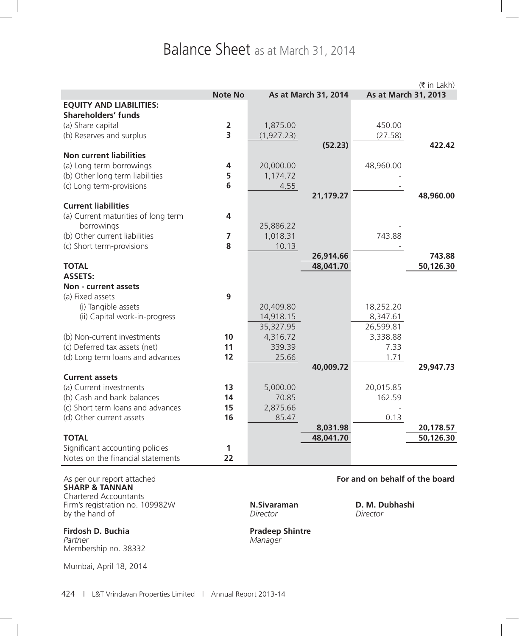# Balance Sheet as at March 31, 2014

|                                                                                         |                         |                                |                      |                                | $(\bar{\bar{\mathbf{x}}}$ in Lakh) |
|-----------------------------------------------------------------------------------------|-------------------------|--------------------------------|----------------------|--------------------------------|------------------------------------|
|                                                                                         | <b>Note No</b>          |                                | As at March 31, 2014 | As at March 31, 2013           |                                    |
| <b>EQUITY AND LIABILITIES:</b><br><b>Shareholders' funds</b>                            |                         |                                |                      |                                |                                    |
| (a) Share capital                                                                       | 2                       | 1,875.00                       |                      | 450.00                         |                                    |
| (b) Reserves and surplus                                                                | $\overline{\mathbf{3}}$ | (1,927.23)                     |                      | (27.58)                        |                                    |
|                                                                                         |                         |                                | (52.23)              |                                | 422.42                             |
| <b>Non current liabilities</b>                                                          |                         |                                |                      |                                |                                    |
| (a) Long term borrowings                                                                | 4                       | 20,000.00                      |                      | 48,960.00                      |                                    |
| (b) Other long term liabilities                                                         | 5                       | 1,174.72                       |                      |                                |                                    |
| (c) Long term-provisions                                                                | 6                       | 4.55                           |                      |                                |                                    |
|                                                                                         |                         |                                | 21,179.27            |                                | 48,960.00                          |
| <b>Current liabilities</b>                                                              |                         |                                |                      |                                |                                    |
| (a) Current maturities of long term                                                     | 4                       |                                |                      |                                |                                    |
| borrowings                                                                              |                         | 25,886.22                      |                      |                                |                                    |
| (b) Other current liabilities                                                           | $\overline{7}$          | 1,018.31                       |                      | 743.88                         |                                    |
| (c) Short term-provisions                                                               | 8                       | 10.13                          |                      |                                |                                    |
|                                                                                         |                         |                                | 26,914.66            |                                | 743.88                             |
| <b>TOTAL</b>                                                                            |                         |                                | 48,041.70            |                                | 50,126.30                          |
| <b>ASSETS:</b>                                                                          |                         |                                |                      |                                |                                    |
| Non - current assets                                                                    |                         |                                |                      |                                |                                    |
| (a) Fixed assets                                                                        | 9                       |                                |                      |                                |                                    |
| (i) Tangible assets                                                                     |                         | 20,409.80                      |                      | 18,252.20                      |                                    |
| (ii) Capital work-in-progress                                                           |                         | 14,918.15                      |                      | 8,347.61                       |                                    |
|                                                                                         |                         | 35,327.95                      |                      | 26,599.81                      |                                    |
| (b) Non-current investments                                                             | 10                      | 4,316.72                       |                      | 3,338.88                       |                                    |
| (c) Deferred tax assets (net)                                                           | 11                      | 339.39                         |                      | 7.33                           |                                    |
| (d) Long term loans and advances                                                        | 12                      | 25.66                          |                      | 1.71                           |                                    |
|                                                                                         |                         |                                | 40,009.72            |                                | 29,947.73                          |
| <b>Current assets</b>                                                                   |                         |                                |                      |                                |                                    |
| (a) Current investments                                                                 | 13                      | 5,000.00                       |                      | 20,015.85                      |                                    |
| (b) Cash and bank balances                                                              | 14                      | 70.85                          |                      | 162.59                         |                                    |
| (c) Short term loans and advances                                                       | 15                      | 2,875.66                       |                      |                                |                                    |
| (d) Other current assets                                                                | 16                      | 85.47                          |                      | 0.13                           |                                    |
|                                                                                         |                         |                                | 8,031.98             |                                | 20,178.57                          |
| <b>TOTAL</b>                                                                            |                         |                                | 48,041.70            |                                | 50,126.30                          |
| Significant accounting policies                                                         | 1                       |                                |                      |                                |                                    |
| Notes on the financial statements                                                       | 22                      |                                |                      |                                |                                    |
| As per our report attached<br><b>SHARP &amp; TANNAN</b><br><b>Chartered Accountants</b> |                         |                                |                      | For and on behalf of the board |                                    |
| Firm's registration no. 109982W<br>by the hand of                                       |                         | <b>N.Sivaraman</b><br>Director |                      | D. M. Dubhashi<br>Director     |                                    |

*Partner Manager*

**Firdosh D. Buchia Pradeep Shintre**<br> *Partner Manager* Membership no. 38332

Mumbai, April 18, 2014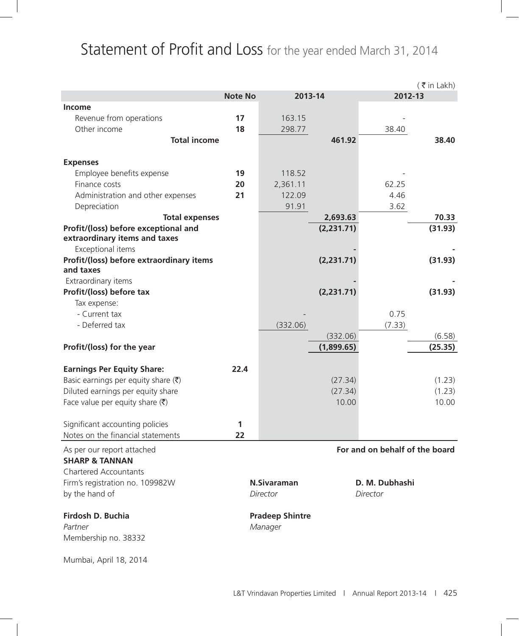# Statement of Profit and Loss for the year ended March 31, 2014

|                                                                       |                |                                   |            |                                | $($ ₹ in Lakh) |
|-----------------------------------------------------------------------|----------------|-----------------------------------|------------|--------------------------------|----------------|
|                                                                       | <b>Note No</b> | 2013-14                           |            | 2012-13                        |                |
| Income                                                                |                |                                   |            |                                |                |
| Revenue from operations                                               | 17             | 163.15                            |            |                                |                |
| Other income                                                          | 18             | 298.77                            |            | 38.40                          |                |
| <b>Total income</b>                                                   |                |                                   | 461.92     |                                | 38.40          |
|                                                                       |                |                                   |            |                                |                |
| <b>Expenses</b>                                                       |                |                                   |            |                                |                |
| Employee benefits expense                                             | 19             | 118.52                            |            |                                |                |
| Finance costs                                                         | 20             | 2,361.11                          |            | 62.25                          |                |
| Administration and other expenses                                     | 21             | 122.09                            |            | 4.46                           |                |
| Depreciation                                                          |                | 91.91                             |            | 3.62                           |                |
| <b>Total expenses</b>                                                 |                |                                   | 2,693.63   |                                | 70.33          |
| Profit/(loss) before exceptional and<br>extraordinary items and taxes |                |                                   | (2,231.71) |                                | (31.93)        |
| Exceptional items                                                     |                |                                   |            |                                |                |
| Profit/(loss) before extraordinary items<br>and taxes                 |                |                                   | (2,231.71) |                                | (31.93)        |
| Extraordinary items                                                   |                |                                   |            |                                |                |
| Profit/(loss) before tax                                              |                |                                   | (2,231.71) |                                | (31.93)        |
| Tax expense:                                                          |                |                                   |            |                                |                |
| - Current tax                                                         |                |                                   |            | 0.75                           |                |
| - Deferred tax                                                        |                | (332.06)                          |            | (7.33)                         |                |
|                                                                       |                |                                   | (332.06)   |                                | (6.58)         |
| Profit/(loss) for the year                                            |                |                                   | (1,899.65) |                                | (25.35)        |
| <b>Earnings Per Equity Share:</b>                                     | 22.4           |                                   |            |                                |                |
| Basic earnings per equity share $(\bar{\zeta})$                       |                |                                   | (27.34)    |                                | (1.23)         |
| Diluted earnings per equity share                                     |                |                                   | (27.34)    |                                | (1.23)         |
| Face value per equity share $(\bar{\zeta})$                           |                |                                   | 10.00      |                                | 10.00          |
|                                                                       |                |                                   |            |                                |                |
| Significant accounting policies                                       | 1              |                                   |            |                                |                |
| Notes on the financial statements                                     | 22             |                                   |            |                                |                |
| As per our report attached<br><b>SHARP &amp; TANNAN</b>               |                |                                   |            | For and on behalf of the board |                |
| <b>Chartered Accountants</b>                                          |                |                                   |            |                                |                |
| Firm's registration no. 109982W<br>by the hand of                     |                | <b>N.Sivaraman</b><br>Director    |            | D. M. Dubhashi<br>Director     |                |
| Firdosh D. Buchia<br>Partner<br>Membership no. 38332                  |                | <b>Pradeep Shintre</b><br>Manager |            |                                |                |
| Mumbai, April 18, 2014                                                |                |                                   |            |                                |                |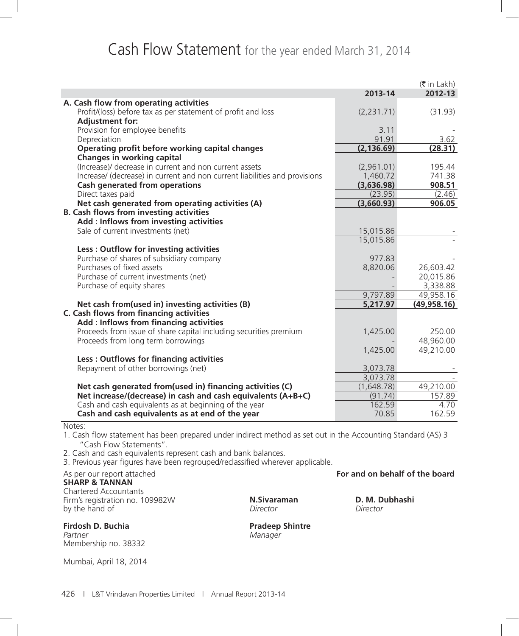# Cash Flow Statement for the year ended March 31, 2014

|                                                                                    |             | $(\bar{\bar{\mathbf{x}}}$ in Lakh) |
|------------------------------------------------------------------------------------|-------------|------------------------------------|
|                                                                                    | 2013-14     | 2012-13                            |
| A. Cash flow from operating activities                                             |             |                                    |
| Profit/(loss) before tax as per statement of profit and loss                       | (2,231.71)  | (31.93)                            |
| <b>Adjustment for:</b>                                                             |             |                                    |
| Provision for employee benefits                                                    | 3.11        |                                    |
| Depreciation                                                                       | 91.91       | 3.62                               |
| Operating profit before working capital changes                                    | (2, 136.69) | (28.31)                            |
| <b>Changes in working capital</b>                                                  |             |                                    |
| (Increase)/ decrease in current and non current assets                             | (2,961.01)  | 195.44                             |
| Increase/ (decrease) in current and non current liabilities and provisions         | 1,460.72    | 741.38                             |
| <b>Cash generated from operations</b>                                              | (3,636.98)  | 908.51                             |
| Direct taxes paid                                                                  | (23.95)     | (2.46)                             |
| Net cash generated from operating activities (A)                                   | (3,660.93)  | 906.05                             |
| <b>B. Cash flows from investing activities</b>                                     |             |                                    |
| Add : Inflows from investing activities                                            |             |                                    |
| Sale of current investments (net)                                                  | 15,015.86   |                                    |
|                                                                                    | 15,015.86   |                                    |
| Less: Outflow for investing activities                                             |             |                                    |
| Purchase of shares of subsidiary company                                           | 977.83      |                                    |
| Purchases of fixed assets                                                          | 8,820.06    | 26,603.42                          |
| Purchase of current investments (net)                                              |             | 20,015.86                          |
| Purchase of equity shares                                                          |             | 3,338.88                           |
|                                                                                    | 9,797.89    | 49,958.16                          |
| Net cash from(used in) investing activities (B)                                    | 5,217.97    | (49, 958.16)                       |
| C. Cash flows from financing activities<br>Add : Inflows from financing activities |             |                                    |
| Proceeds from issue of share capital including securities premium                  | 1,425.00    | 250.00                             |
| Proceeds from long term borrowings                                                 |             | 48,960.00                          |
|                                                                                    | 1,425.00    | 49,210.00                          |
| Less: Outflows for financing activities                                            |             |                                    |
| Repayment of other borrowings (net)                                                | 3,073.78    |                                    |
|                                                                                    | 3,073.78    |                                    |
| Net cash generated from(used in) financing activities (C)                          | (1,648.78)  | 49,210.00                          |
| Net increase/(decrease) in cash and cash equivalents (A+B+C)                       | (91.74)     | 157.89                             |
| Cash and cash equivalents as at beginning of the year                              | 162.59      | 4.70                               |
| Cash and cash equivalents as at end of the year                                    | 70.85       | 162.59                             |
|                                                                                    |             |                                    |

#### Notes:

1. Cash flow statement has been prepared under indirect method as set out in the Accounting Standard (AS) 3 "Cash Flow Statements".

2. Cash and cash equivalents represent cash and bank balances.

3. Previous year figures have been regrouped/reclassified wherever applicable.

As per our report attached **For and on behalf of the board SHARP & TANNAN** Chartered Accountants Firm's registration no. 109982W **N.Sivaraman D. M. Dubhashi**<br>
by the hand of **Director** *Director Director Director* by the hand of

**Firdosh D. Buchia Pradeep Shintre** Partner Manager Membership no. 38332

Mumbai, April 18, 2014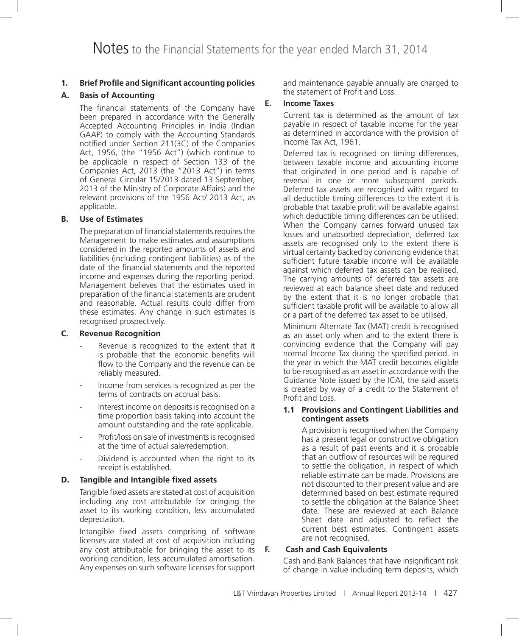## **1. Brief Profile and Significant accounting policies**

#### **A. Basis of Accounting**

 The financial statements of the Company have been prepared in accordance with the Generally Accepted Accounting Principles in India (Indian GAAP) to comply with the Accounting Standards notified under Section 211(3C) of the Companies Act, 1956, (the "1956 Act") (which continue to be applicable in respect of Section 133 of the Companies Act, 2013 (the "2013 Act") in terms of General Circular 15/2013 dated 13 September, 2013 of the Ministry of Corporate Affairs) and the relevant provisions of the 1956 Act/ 2013 Act, as applicable.

#### **B. Use of Estimates**

 The preparation of financial statements requires the Management to make estimates and assumptions considered in the reported amounts of assets and liabilities (including contingent liabilities) as of the date of the financial statements and the reported income and expenses during the reporting period. Management believes that the estimates used in preparation of the financial statements are prudent and reasonable. Actual results could differ from these estimates. Any change in such estimates is recognised prospectively.

#### **C. Revenue Recognition**

- Revenue is recognized to the extent that it is probable that the economic benefits will flow to the Company and the revenue can be reliably measured.
- Income from services is recognized as per the terms of contracts on accrual basis.
- Interest income on deposits is recognised on a time proportion basis taking into account the amount outstanding and the rate applicable.
- Profit/loss on sale of investments is recognised at the time of actual sale/redemption.
- Dividend is accounted when the right to its receipt is established.

#### **D. Tangible and Intangible fixed assets**

 Tangible fixed assets are stated at cost of acquisition including any cost attributable for bringing the asset to its working condition, less accumulated depreciation.

 Intangible fixed assets comprising of software licenses are stated at cost of acquisition including any cost attributable for bringing the asset to its working condition, less accumulated amortisation. Any expenses on such software licenses for support

and maintenance payable annually are charged to the statement of Profit and Loss.

#### **E. Income Taxes**

 Current tax is determined as the amount of tax payable in respect of taxable income for the year as determined in accordance with the provision of Income Tax Act, 1961.

Deferred tax is recognised on timing differences, between taxable income and accounting income that originated in one period and is capable of reversal in one or more subsequent periods. Deferred tax assets are recognised with regard to all deductible timing differences to the extent it is probable that taxable profit will be available against which deductible timing differences can be utilised. When the Company carries forward unused tax losses and unabsorbed depreciation, deferred tax assets are recognised only to the extent there is virtual certainty backed by convincing evidence that sufficient future taxable income will be available against which deferred tax assets can be realised. The carrying amounts of deferred tax assets are reviewed at each balance sheet date and reduced by the extent that it is no longer probable that sufficient taxable profit will be available to allow all or a part of the deferred tax asset to be utilised.

 Minimum Alternate Tax (MAT) credit is recognised as an asset only when and to the extent there is convincing evidence that the Company will pay normal Income Tax during the specified period. In the year in which the MAT credit becomes eligible to be recognised as an asset in accordance with the Guidance Note issued by the ICAI, the said assets is created by way of a credit to the Statement of Profit and Loss.

#### **1.1 Provisions and Contingent Liabilities and contingent assets**

 A provision is recognised when the Company has a present legal or constructive obligation as a result of past events and it is probable that an outflow of resources will be required to settle the obligation, in respect of which reliable estimate can be made. Provisions are not discounted to their present value and are determined based on best estimate required to settle the obligation at the Balance Sheet date. These are reviewed at each Balance Sheet date and adjusted to reflect the current best estimates. Contingent assets are not recognised.

# **F. Cash and Cash Equivalents**

 Cash and Bank Balances that have insignificant risk of change in value including term deposits, which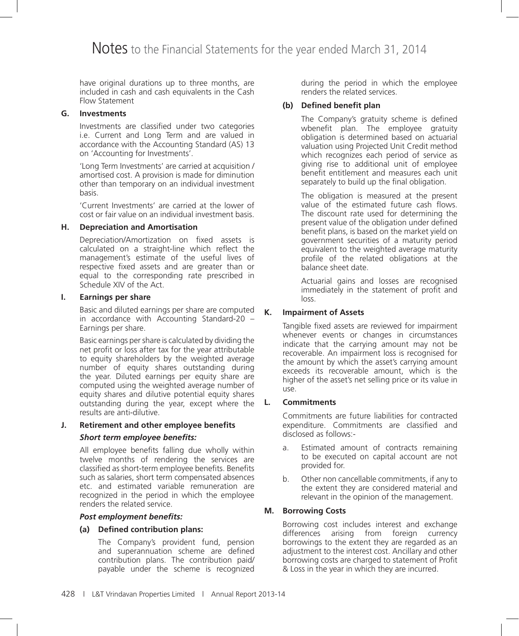have original durations up to three months, are included in cash and cash equivalents in the Cash Flow Statement

#### **G. Investments**

 Investments are classified under two categories i.e. Current and Long Term and are valued in accordance with the Accounting Standard (AS) 13 on 'Accounting for Investments'.

 'Long Term Investments' are carried at acquisition / amortised cost. A provision is made for diminution other than temporary on an individual investment basis.

 'Current Investments' are carried at the lower of cost or fair value on an individual investment basis.

#### **H. Depreciation and Amortisation**

 Depreciation/Amortization on fixed assets is calculated on a straight-line which reflect the management's estimate of the useful lives of respective fixed assets and are greater than or equal to the corresponding rate prescribed in Schedule XIV of the Act.

#### **I. Earnings per share**

 Basic and diluted earnings per share are computed in accordance with Accounting Standard-20 – Earnings per share.

 Basic earnings per share is calculated by dividing the net profit or loss after tax for the year attributable to equity shareholders by the weighted average number of equity shares outstanding during the year. Diluted earnings per equity share are computed using the weighted average number of equity shares and dilutive potential equity shares outstanding during the year, except where the results are anti-dilutive.

# **J. Retirement and other employee benefits**

# *Short term employee benefits:*

 All employee benefits falling due wholly within twelve months of rendering the services are classified as short-term employee benefits. Benefits such as salaries, short term compensated absences etc. and estimated variable remuneration are recognized in the period in which the employee renders the related service.

# *Post employment benefits:*

# **(a) Defined contribution plans:**

 The Company's provident fund, pension and superannuation scheme are defined contribution plans. The contribution paid/ payable under the scheme is recognized

during the period in which the employee renders the related services.

# **(b) Defined benefit plan**

 The Company's gratuity scheme is defined wbenefit plan. The employee gratuity obligation is determined based on actuarial valuation using Projected Unit Credit method which recognizes each period of service as giving rise to additional unit of employee benefit entitlement and measures each unit separately to build up the final obligation.

 The obligation is measured at the present value of the estimated future cash flows. The discount rate used for determining the present value of the obligation under defined benefit plans, is based on the market yield on government securities of a maturity period equivalent to the weighted average maturity profile of the related obligations at the balance sheet date.

 Actuarial gains and losses are recognised immediately in the statement of profit and loss.

# **K. Impairment of Assets**

 Tangible fixed assets are reviewed for impairment whenever events or changes in circumstances indicate that the carrying amount may not be recoverable. An impairment loss is recognised for the amount by which the asset's carrying amount exceeds its recoverable amount, which is the higher of the asset's net selling price or its value in use.

# **L. Commitments**

 Commitments are future liabilities for contracted expenditure. Commitments are classified and disclosed as follows:-

- a. Estimated amount of contracts remaining to be executed on capital account are not provided for.
- b. Other non cancellable commitments, if any to the extent they are considered material and relevant in the opinion of the management.

# **M. Borrowing Costs**

 Borrowing cost includes interest and exchange differences arising from foreign currency borrowings to the extent they are regarded as an adjustment to the interest cost. Ancillary and other borrowing costs are charged to statement of Profit & Loss in the year in which they are incurred.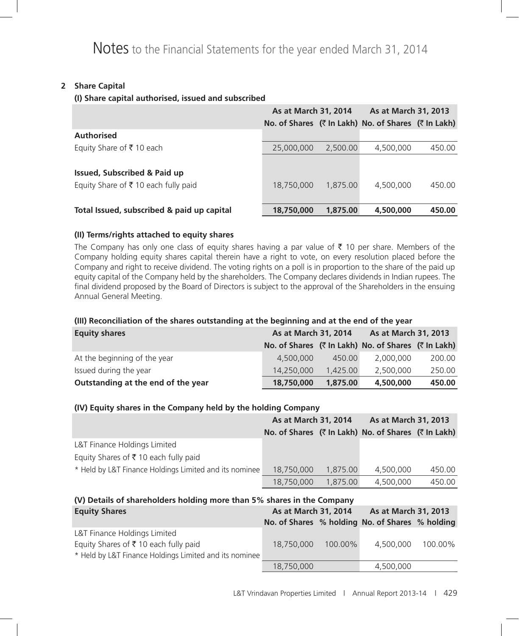# **2 Share Capital**

## **(I) Share capital authorised, issued and subscribed**

|                                                      | As at March 31, 2014 |          | As at March 31, 2013                                |        |
|------------------------------------------------------|----------------------|----------|-----------------------------------------------------|--------|
|                                                      |                      |          | No. of Shares (₹ In Lakh) No. of Shares (₹ In Lakh) |        |
| <b>Authorised</b>                                    |                      |          |                                                     |        |
| Equity Share of ₹10 each                             | 25,000,000           | 2,500.00 | 4,500,000                                           | 450.00 |
|                                                      |                      |          |                                                     |        |
| <b>Issued, Subscribed &amp; Paid up</b>              |                      |          |                                                     |        |
| Equity Share of $\bar{\bar{\xi}}$ 10 each fully paid | 18,750,000           | 1.875.00 | 4,500,000                                           | 450.00 |
|                                                      |                      |          |                                                     |        |
| Total Issued, subscribed & paid up capital           | 18,750,000           | 1,875.00 | 4,500,000                                           | 450.00 |

# **(II) Terms/rights attached to equity shares**

The Company has only one class of equity shares having a par value of  $\bar{\tau}$  10 per share. Members of the Company holding equity shares capital therein have a right to vote, on every resolution placed before the Company and right to receive dividend. The voting rights on a poll is in proportion to the share of the paid up equity capital of the Company held by the shareholders. The Company declares dividends in Indian rupees. The final dividend proposed by the Board of Directors is subject to the approval of the Shareholders in the ensuing Annual General Meeting.

## **(III) Reconciliation of the shares outstanding at the beginning and at the end of the year**

| <b>Equity shares</b>               | As at March 31, 2014 |          |                                                                       |        | As at March 31, 2013 |  |
|------------------------------------|----------------------|----------|-----------------------------------------------------------------------|--------|----------------------|--|
|                                    |                      |          | No. of Shares $(\bar{z} \ln$ Lakh) No. of Shares $(\bar{z} \ln$ Lakh) |        |                      |  |
| At the beginning of the year       | 4,500,000            | 450.00   | 2,000,000                                                             | 200.00 |                      |  |
| Issued during the year             | 14,250,000           | 1,425,00 | 2,500,000                                                             | 250.00 |                      |  |
| Outstanding at the end of the year | 18,750,000           | 1,875.00 | 4,500,000                                                             | 450.00 |                      |  |

# **(IV) Equity shares in the Company held by the holding Company**

|                                                        | As at March 31, 2014 |          | As at March 31, 2013                                                |        |
|--------------------------------------------------------|----------------------|----------|---------------------------------------------------------------------|--------|
|                                                        |                      |          | No. of Shares $(\bar{z}$ In Lakh) No. of Shares $(\bar{z}$ In Lakh) |        |
| L&T Finance Holdings Limited                           |                      |          |                                                                     |        |
| Equity Shares of ₹10 each fully paid                   |                      |          |                                                                     |        |
| * Held by L&T Finance Holdings Limited and its nominee | 18,750,000           | 1,875,00 | 4,500,000                                                           | 450.00 |
|                                                        | 18,750,000           | 1,875.00 | 4,500,000                                                           | 450.00 |

# **(V) Details of shareholders holding more than 5% shares in the Company Equity Shares As at March 31, 2014 As at March 31, 2013 No. of Shares % holding No. of Shares % holding** L&T Finance Holdings Limited Equity Shares of ₹ 10 each fully paid 18,750,000 100.00% 4,500,000 100.00% \* Held by L&T Finance Holdings Limited and its nominee 18,750,000 4,500,000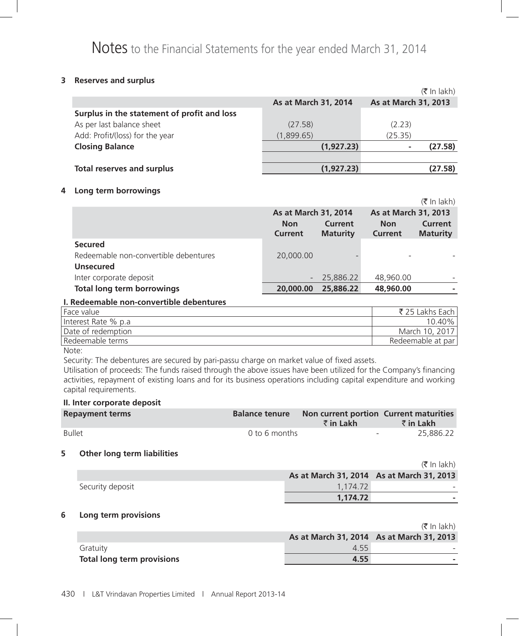# Notes to the Financial Statements for the year ended March 31, 2014

## **3 Reserves and surplus**

|                                             |                      |                          | $(5 \text{ In } \text{lakh})$ |
|---------------------------------------------|----------------------|--------------------------|-------------------------------|
|                                             | As at March 31, 2014 | As at March 31, 2013     |                               |
| Surplus in the statement of profit and loss |                      |                          |                               |
| As per last balance sheet                   | (27.58)              | (2.23)                   |                               |
| Add: Profit/(loss) for the year             | (1,899.65)           | (25.35)                  |                               |
| <b>Closing Balance</b>                      | (1,927.23)           | $\overline{\phantom{a}}$ | (27.58)                       |
|                                             |                      |                          |                               |
| <b>Total reserves and surplus</b>           | (1,927.23)           |                          | (27.58)                       |

#### **4 Long term borrowings**

|                                       |                       |                                   |                       | $(5 \text{ In } \text{lakh})$     |
|---------------------------------------|-----------------------|-----------------------------------|-----------------------|-----------------------------------|
|                                       | As at March 31, 2014  |                                   | As at March 31, 2013  |                                   |
|                                       | <b>Non</b><br>Current | <b>Current</b><br><b>Maturity</b> | <b>Non</b><br>Current | <b>Current</b><br><b>Maturity</b> |
| <b>Secured</b>                        |                       |                                   |                       |                                   |
| Redeemable non-convertible debentures | 20,000.00             |                                   |                       |                                   |
| <b>Unsecured</b>                      |                       |                                   |                       |                                   |
| Inter corporate deposit               | $\sim$                | 25,886.22                         | 48,960.00             |                                   |
| <b>Total long term borrowings</b>     | 20,000,00             | 25,886.22                         | 48,960.00             |                                   |

## **I. Redeemable non-convertible debentures**

| l Face value          | ₹25 Lakhs Each    |
|-----------------------|-------------------|
| l Interest Rate % p.a | $10.40\%$         |
| Date of redemption    | March 10, 2017 l  |
| Redeemable terms      | Redeemable at par |
| .                     |                   |

Note:

Security: The debentures are secured by pari-passu charge on market value of fixed assets.

Utilisation of proceeds: The funds raised through the above issues have been utilized for the Company's financing activities, repayment of existing loans and for its business operations including capital expenditure and working capital requirements.

#### **II. Inter corporate deposit**

| <b>Repayment terms</b> |               | Balance tenure    Non current portion    Current maturities<br>र in Lakh | ₹ in Lakh |
|------------------------|---------------|--------------------------------------------------------------------------|-----------|
| <b>Bullet</b>          | 0 to 6 months | $\sim$ $\sim$                                                            | 25,886.22 |

#### **5 Other long term liabilities**

|                  |          | $(\bar{\bar{\mathbf{x}}}$ In lakh)        |
|------------------|----------|-------------------------------------------|
|                  |          | As at March 31, 2014 As at March 31, 2013 |
| Security deposit | 1.174.72 |                                           |
|                  | 1,174.72 |                                           |

#### **6 Long term provisions**

|                            |      | (₹ In lakh)                               |
|----------------------------|------|-------------------------------------------|
|                            |      | As at March 31, 2014 As at March 31, 2013 |
| Gratuity                   | 4.55 |                                           |
| Total long term provisions | 4.55 |                                           |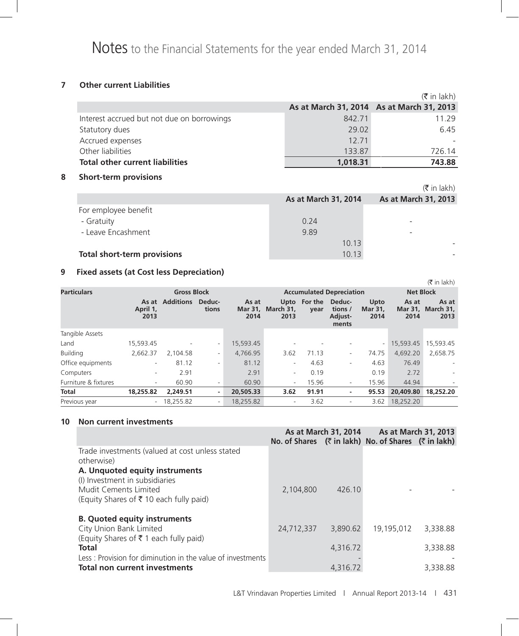# **7 Other current Liabilities**

|                                            |          | $(\bar{\bar{\mathbf{x}}}$ in lakh)        |
|--------------------------------------------|----------|-------------------------------------------|
|                                            |          | As at March 31, 2014 As at March 31, 2013 |
| Interest accrued but not due on borrowings | 842.71   | 11.29                                     |
| Statutory dues                             | 29.02    | 6.45                                      |
| Accrued expenses                           | 12.71    |                                           |
| Other liabilities                          | 133.87   | 726.14                                    |
| <b>Total other current liabilities</b>     | 1,018.31 | 743.88                                    |

**8 Short-term provisions**

|                                    |                      | $(\bar{\bar{\mathbf{x}}}$ in lakh) |
|------------------------------------|----------------------|------------------------------------|
|                                    | As at March 31, 2014 | As at March 31, 2013               |
| For employee benefit               |                      |                                    |
| - Gratuity                         | 0.24                 |                                    |
| - Leave Encashment                 | 9.89                 | -                                  |
|                                    | 10.13                |                                    |
| <b>Total short-term provisions</b> | 10.13                |                                    |

## **9 Fixed assets (at Cost less Depreciation)**

|                                                                             |                           |                  |                 |               |                           |                      |                                       |                                |                          | $(\bar{\bar{\mathbf{x}}}$ in lakh) |
|-----------------------------------------------------------------------------|---------------------------|------------------|-----------------|---------------|---------------------------|----------------------|---------------------------------------|--------------------------------|--------------------------|------------------------------------|
| <b>Particulars</b><br><b>Gross Block</b><br><b>Accumulated Depreciation</b> |                           |                  |                 |               | <b>Net Block</b>          |                      |                                       |                                |                          |                                    |
|                                                                             | As at<br>April 1,<br>2013 | <b>Additions</b> | Deduc-<br>tions | As at<br>2014 | Mar 31, March 31,<br>2013 | Upto For the<br>year | Deduc-<br>tions /<br>Adjust-<br>ments | Upto<br><b>Mar 31,</b><br>2014 | As at<br>Mar 31,<br>2014 | As at<br>March 31,<br>2013         |
| Tangible Assets                                                             |                           |                  |                 |               |                           |                      |                                       |                                |                          |                                    |
| Land                                                                        | 15,593.45                 |                  | -               | 15,593.45     |                           |                      |                                       |                                | 15,593.45                | 15,593.45                          |
| <b>Building</b>                                                             | 2,662.37                  | 2,104.58         | ۰               | 4,766.95      | 3.62                      | 71.13                | $\sim$                                | 74.75                          | 4,692.20                 | 2,658.75                           |
| Office equipments                                                           | $\overline{\phantom{a}}$  | 81.12            | ۰               | 81.12         | $\overline{\phantom{a}}$  | 4.63                 | $\sim$                                | 4.63                           | 76.49                    |                                    |
| Computers                                                                   | ۰.                        | 2.91             |                 | 2.91          | $\overline{\phantom{a}}$  | 0.19                 |                                       | 0.19                           | 2.72                     |                                    |
| Furniture & fixtures                                                        | $\overline{\phantom{a}}$  | 60.90            | ۰.              | 60.90         | $\overline{\phantom{a}}$  | 15.96                | $\sim$                                | 15.96                          | 44.94                    |                                    |
| <b>Total</b>                                                                | 18,255.82                 | 2.249.51         | ٠               | 20,505.33     | 3.62                      | 91.91                | ٠                                     | 95.53                          | 20,409.80                | 18,252,20                          |
| Previous year                                                               | $\overline{\phantom{0}}$  | 18,255.82        | $\overline{a}$  | 18,255.82     | $\overline{\phantom{a}}$  | 3.62                 | ۰                                     | 3.62                           | 18,252.20                |                                    |

# **10 Non current investments**

|                                                               |            | As at March 31, 2014 | <b>As at March 31, 2013</b>                                         |          |
|---------------------------------------------------------------|------------|----------------------|---------------------------------------------------------------------|----------|
|                                                               |            |                      | No. of Shares $(\bar{z}$ in lakh) No. of Shares $(\bar{z}$ in lakh) |          |
| Trade investments (valued at cost unless stated<br>otherwise) |            |                      |                                                                     |          |
| A. Unquoted equity instruments                                |            |                      |                                                                     |          |
| (I) Investment in subsidiaries                                |            |                      |                                                                     |          |
| Mudit Cements Limited                                         | 2,104,800  | 426.10               |                                                                     |          |
| (Equity Shares of $\bar{\tau}$ 10 each fully paid)            |            |                      |                                                                     |          |
|                                                               |            |                      |                                                                     |          |
| <b>B.</b> Quoted equity instruments                           |            |                      |                                                                     |          |
| City Union Bank Limited                                       | 24,712,337 | 3,890.62             | 19,195,012                                                          | 3,338.88 |
| (Equity Shares of ₹ 1 each fully paid)                        |            |                      |                                                                     |          |
| <b>Total</b>                                                  |            | 4,316.72             |                                                                     | 3,338.88 |
| Less: Provision for diminution in the value of investments    |            |                      |                                                                     |          |
| <b>Total non current investments</b>                          |            | 4,316.72             |                                                                     | 3,338.88 |
|                                                               |            |                      |                                                                     |          |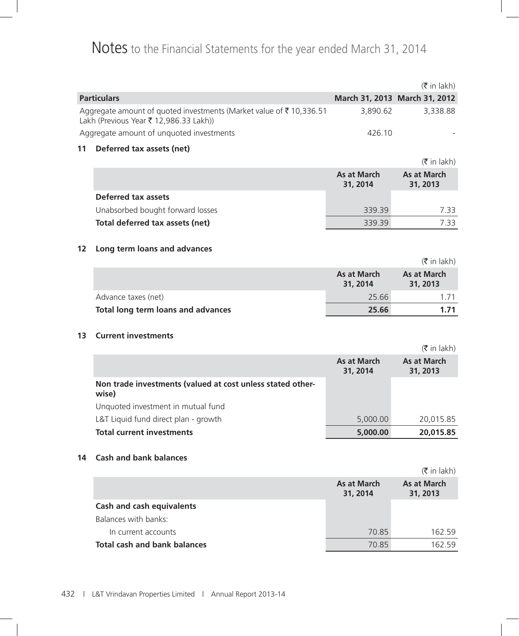# Notes to the Financial Statements for the year ended March 31, 2014

|    |                                                                                                              |                                | $(\bar{\bar{\mathbf{\tau}}}$ in lakh) |
|----|--------------------------------------------------------------------------------------------------------------|--------------------------------|---------------------------------------|
|    | <b>Particulars</b>                                                                                           |                                | March 31, 2013 March 31, 2012         |
|    | Aggregate amount of quoted investments (Market value of ₹10,336.51<br>Lakh (Previous Year ₹ 12,986.33 Lakh)) | 3,890.62                       | 3,338.88                              |
|    | Aggregate amount of unquoted investments                                                                     | 426.10                         |                                       |
| 11 | Deferred tax assets (net)                                                                                    |                                |                                       |
|    |                                                                                                              |                                | $(\bar{\bar{\mathbf{x}}}$ in lakh)    |
|    |                                                                                                              | As at March<br>31, 2014        | <b>As at March</b><br>31, 2013        |
|    | Deferred tax assets                                                                                          |                                |                                       |
|    | Unabsorbed bought forward losses                                                                             | 339.39                         | 7.33                                  |
|    | Total deferred tax assets (net)                                                                              | 339.39                         | 7.33                                  |
|    |                                                                                                              |                                |                                       |
| 12 | Long term loans and advances                                                                                 |                                |                                       |
|    |                                                                                                              |                                | $(\bar{\bar{\mathbf{x}}}$ in lakh)    |
|    |                                                                                                              | As at March<br>31, 2014        | <b>As at March</b><br>31, 2013        |
|    | Advance taxes (net)                                                                                          | 25.66                          | 1.71                                  |
|    | Total long term loans and advances                                                                           | 25.66                          | 1.71                                  |
|    |                                                                                                              |                                |                                       |
| 13 | <b>Current investments</b>                                                                                   |                                |                                       |
|    |                                                                                                              |                                | $(\bar{\bar{\zeta}})$ in lakh)        |
|    |                                                                                                              | <b>As at March</b><br>31, 2014 | <b>As at March</b><br>31, 2013        |
|    | Non trade investments (valued at cost unless stated other-<br>wise)                                          |                                |                                       |

Unquoted investment in mutual fund L&T Liquid fund direct plan - growth 5,000.00 5,000.00 20,015.85 **Total current investments 5,000.00 20,015.85**

# **14 Cash and bank balances**

|                                  |                         | $(\bar{\bar{\mathbf{x}}}$ in lakh) |
|----------------------------------|-------------------------|------------------------------------|
|                                  | As at March<br>31, 2014 | As at March<br>31, 2013            |
| <b>Cash and cash equivalents</b> |                         |                                    |
| Balances with banks:             |                         |                                    |
| In current accounts              | 70.85                   | 162.59                             |
| Total cash and bank balances     | 70.85                   | 162 59                             |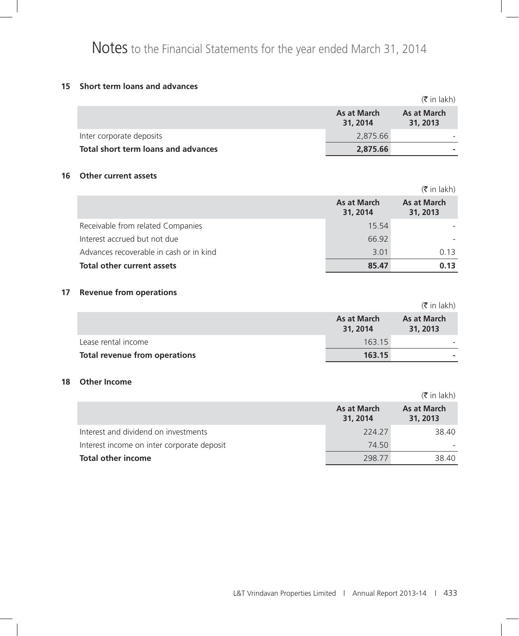## **15 Short term loans and advances**

|                                     |                         | $(\bar{\bar{\mathbf{x}}}$ in lakh) |
|-------------------------------------|-------------------------|------------------------------------|
|                                     | As at March<br>31, 2014 | As at March<br>31, 2013            |
| Inter corporate deposits            | 2,875.66                |                                    |
| Total short term loans and advances | 2,875.66                |                                    |

# **16 Other current assets**

|                                         |                         | $(\bar{\bar{\mathbf{\tau}}}$ in lakh) |
|-----------------------------------------|-------------------------|---------------------------------------|
|                                         | As at March<br>31, 2014 | As at March<br>31, 2013               |
| Receivable from related Companies       | 15.54                   |                                       |
| Interest accrued but not due            | 66.92                   |                                       |
| Advances recoverable in cash or in kind | 3.01                    | 0.13                                  |
| Total other current assets              | 85.47                   | 0.13                                  |

# **17 Revenue from operations**

|                               |                         | $(\bar{\bar{\mathbf{x}}}$ in lakh) |
|-------------------------------|-------------------------|------------------------------------|
|                               | As at March<br>31, 2014 | As at March<br>31, 2013            |
| Lease rental income           | 163.15                  |                                    |
| Total revenue from operations | 163.15                  |                                    |

#### **18 Other Income**

|                                            |                         | $(\bar{\bar{\mathbf{x}}}$ in lakh) |
|--------------------------------------------|-------------------------|------------------------------------|
|                                            | As at March<br>31, 2014 | As at March<br>31, 2013            |
| Interest and dividend on investments       | 224.27                  | 38.40                              |
| Interest income on inter corporate deposit | 74.50                   |                                    |
| <b>Total other income</b>                  | 298.77                  | 38.40                              |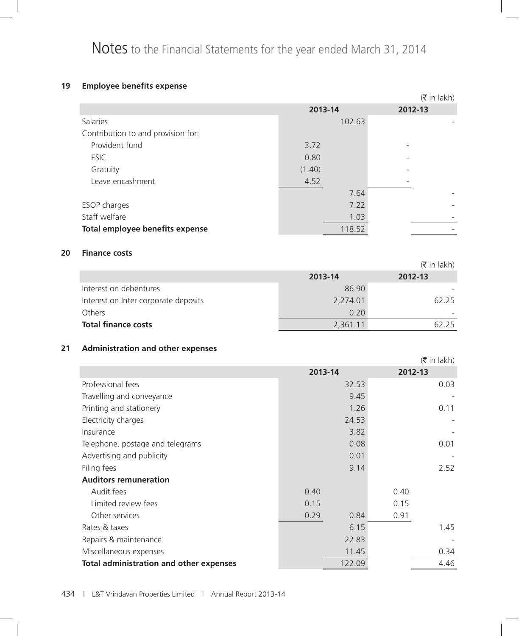# **19 Employee benefits expense**

|                                    |         | $(\bar{\bar{\mathbf{x}}}$ in lakh) |
|------------------------------------|---------|------------------------------------|
|                                    | 2013-14 | 2012-13                            |
| Salaries                           | 102.63  |                                    |
| Contribution to and provision for: |         |                                    |
| Provident fund                     | 3.72    |                                    |
| <b>ESIC</b>                        | 0.80    |                                    |
| Gratuity                           | (1.40)  |                                    |
| Leave encashment                   | 4.52    |                                    |
|                                    | 7.64    |                                    |
| ESOP charges                       | 7.22    |                                    |
| Staff welfare                      | 1.03    |                                    |
| Total employee benefits expense    | 118.52  |                                    |

#### **20 Finance costs**

|                                      |          | $(\bar{\bar{\mathbf{x}}}$ in lakh) |
|--------------------------------------|----------|------------------------------------|
|                                      | 2013-14  | 2012-13                            |
| Interest on debentures               | 86.90    |                                    |
| Interest on Inter corporate deposits | 2,274.01 | 62.25                              |
| Others                               | 0.20     |                                    |
| <b>Total finance costs</b>           | 2,361.11 | 62 25                              |

## **21 Administration and other expenses**

|                                                |              | $(\bar{\bar{\mathbf{x}}}$ in lakh) |
|------------------------------------------------|--------------|------------------------------------|
|                                                | 2013-14      | 2012-13                            |
| Professional fees                              | 32.53        | 0.03                               |
| Travelling and conveyance                      | 9.45         |                                    |
| Printing and stationery                        | 1.26         | 0.11                               |
| Electricity charges                            | 24.53        |                                    |
| Insurance                                      | 3.82         |                                    |
| Telephone, postage and telegrams               | 0.08         | 0.01                               |
| Advertising and publicity                      | 0.01         |                                    |
| Filing fees                                    | 9.14         | 2.52                               |
| <b>Auditors remuneration</b>                   |              |                                    |
| Audit fees                                     | 0.40         | 0.40                               |
| Limited review fees                            | 0.15         | 0.15                               |
| Other services                                 | 0.29<br>0.84 | 0.91                               |
| Rates & taxes                                  | 6.15         | 1.45                               |
| Repairs & maintenance                          | 22.83        |                                    |
| Miscellaneous expenses                         | 11.45        | 0.34                               |
| <b>Total administration and other expenses</b> | 122.09       | 4.46                               |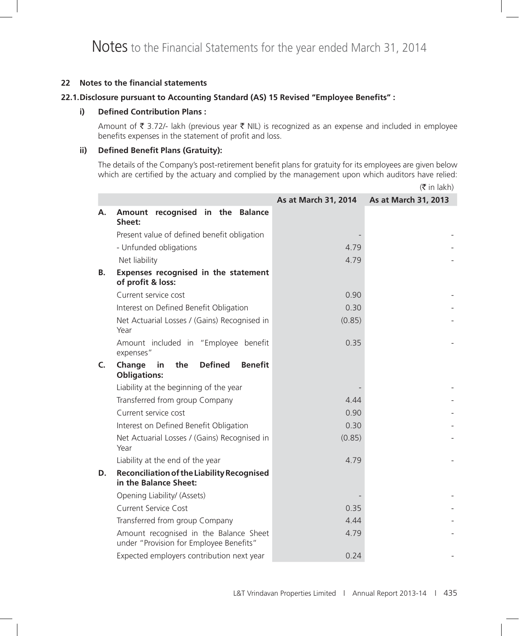#### **22 Notes to the financial statements**

#### **22.1. Disclosure pursuant to Accounting Standard (AS) 15 Revised "Employee Benefits" :**

#### **i) Defined Contribution Plans :**

Amount of  $\bar{\tau}$  3.72/- lakh (previous year  $\bar{\tau}$  NIL) is recognized as an expense and included in employee benefits expenses in the statement of profit and loss.

#### **ii) Defined Benefit Plans (Gratuity):**

 The details of the Company's post-retirement benefit plans for gratuity for its employees are given below which are certified by the actuary and complied by the management upon which auditors have relied:

|    |                                                                                   |                      | $(\bar{\bar{\mathbf{x}}}$ in lakh) |
|----|-----------------------------------------------------------------------------------|----------------------|------------------------------------|
|    |                                                                                   | As at March 31, 2014 | As at March 31, 2013               |
| А. | Amount recognised in the Balance<br>Sheet:                                        |                      |                                    |
|    | Present value of defined benefit obligation                                       |                      |                                    |
|    | - Unfunded obligations                                                            | 4.79                 |                                    |
|    | Net liability                                                                     | 4.79                 |                                    |
| В. | Expenses recognised in the statement<br>of profit & loss:                         |                      |                                    |
|    | Current service cost                                                              | 0.90                 |                                    |
|    | Interest on Defined Benefit Obligation                                            | 0.30                 |                                    |
|    | Net Actuarial Losses / (Gains) Recognised in<br>Year                              | (0.85)               |                                    |
|    | Amount included in "Employee benefit<br>expenses"                                 | 0.35                 |                                    |
| C. | the<br><b>Defined</b><br><b>Benefit</b><br>Change<br>in<br><b>Obligations:</b>    |                      |                                    |
|    | Liability at the beginning of the year                                            |                      |                                    |
|    | Transferred from group Company                                                    | 4.44                 |                                    |
|    | Current service cost                                                              | 0.90                 |                                    |
|    | Interest on Defined Benefit Obligation                                            | 0.30                 |                                    |
|    | Net Actuarial Losses / (Gains) Recognised in<br>Year                              | (0.85)               |                                    |
|    | Liability at the end of the year                                                  | 4.79                 |                                    |
| D. | Reconciliation of the Liability Recognised<br>in the Balance Sheet:               |                      |                                    |
|    | Opening Liability/ (Assets)                                                       |                      |                                    |
|    | <b>Current Service Cost</b>                                                       | 0.35                 |                                    |
|    | Transferred from group Company                                                    | 4.44                 |                                    |
|    | Amount recognised in the Balance Sheet<br>under "Provision for Employee Benefits" | 4.79                 |                                    |
|    | Expected employers contribution next year                                         | 0.24                 |                                    |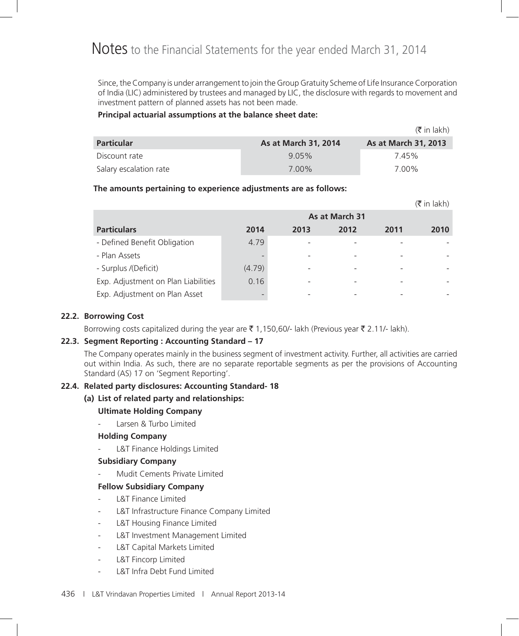Since, the Company is under arrangement to join the Group Gratuity Scheme of Life Insurance Corporation of India (LIC) administered by trustees and managed by LIC, the disclosure with regards to movement and investment pattern of planned assets has not been made.

# **Principal actuarial assumptions at the balance sheet date:**

|                        |                             | $(\bar{\bar{\mathbf{x}}}$ in lakh) |
|------------------------|-----------------------------|------------------------------------|
| <b>Particular</b>      | <b>As at March 31, 2014</b> | As at March 31, 2013               |
| Discount rate          | $9.05\%$                    | 7.45%                              |
| Salary escalation rate | 7.00%                       | 7.00%                              |

# **The amounts pertaining to experience adjustments are as follows:**

|                                     |                |      |      |      | (र in lakh) |
|-------------------------------------|----------------|------|------|------|-------------|
|                                     | As at March 31 |      |      |      |             |
| <b>Particulars</b>                  | 2014           | 2013 | 2012 | 2011 | 2010        |
| - Defined Benefit Obligation        | 4.79           |      |      |      |             |
| - Plan Assets                       |                |      |      |      |             |
| - Surplus /(Deficit)                | (4.79)         |      |      |      |             |
| Exp. Adjustment on Plan Liabilities | 0.16           |      |      |      |             |
| Exp. Adjustment on Plan Asset       |                |      |      |      |             |

 $\rightarrow$  in lake  $\rightarrow$ 

# **22.2. Borrowing Cost**

Borrowing costs capitalized during the year are  $\bar{\tau}$  1,150,60/- lakh (Previous year  $\bar{\tau}$  2.11/- lakh).

# **22.3. Segment Reporting : Accounting Standard – 17**

 The Company operates mainly in the business segment of investment activity. Further, all activities are carried out within India. As such, there are no separate reportable segments as per the provisions of Accounting Standard (AS) 17 on 'Segment Reporting'.

# **22.4. Related party disclosures: Accounting Standard- 18**

# **(a) List of related party and relationships:**

# **Ultimate Holding Company**

Larsen & Turbo Limited

# **Holding Company**

L&T Finance Holdings Limited

# **Subsidiary Company**

Mudit Cements Private Limited

# **Fellow Subsidiary Company**

- L&T Finance Limited
- L&T Infrastructure Finance Company Limited
- L&T Housing Finance Limited
- L&T Investment Management Limited
- L&T Capital Markets Limited
- L&T Fincorp Limited
- L&T Infra Debt Fund Limited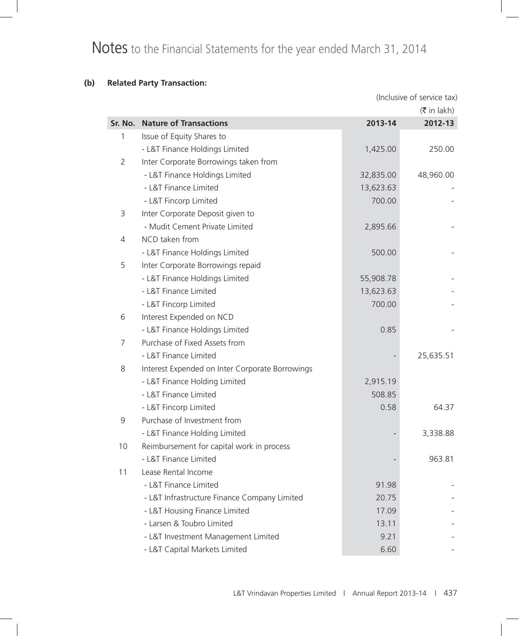# **(b) Related Party Transaction:**

|                |                                                 |           | (Inclusive of service tax)         |
|----------------|-------------------------------------------------|-----------|------------------------------------|
|                |                                                 |           | $(\bar{\bar{\mathbf{x}}}$ in lakh) |
|                | Sr. No. Nature of Transactions                  | 2013-14   | 2012-13                            |
| 1              | Issue of Equity Shares to                       |           |                                    |
|                | - L&T Finance Holdings Limited                  | 1,425.00  | 250.00                             |
| $\overline{2}$ | Inter Corporate Borrowings taken from           |           |                                    |
|                | - L&T Finance Holdings Limited                  | 32,835.00 | 48,960.00                          |
|                | - L&T Finance Limited                           | 13,623.63 |                                    |
|                | - L&T Fincorp Limited                           | 700.00    |                                    |
| 3              | Inter Corporate Deposit given to                |           |                                    |
|                | - Mudit Cement Private Limited                  | 2,895.66  |                                    |
| $\overline{4}$ | NCD taken from                                  |           |                                    |
|                | - L&T Finance Holdings Limited                  | 500.00    |                                    |
| 5              | Inter Corporate Borrowings repaid               |           |                                    |
|                | - L&T Finance Holdings Limited                  | 55,908.78 |                                    |
|                | - L&T Finance Limited                           | 13,623.63 |                                    |
|                | - L&T Fincorp Limited                           | 700.00    |                                    |
| 6              | Interest Expended on NCD                        |           |                                    |
|                | - L&T Finance Holdings Limited                  | 0.85      |                                    |
| $\overline{7}$ | Purchase of Fixed Assets from                   |           |                                    |
|                | - L&T Finance Limited                           |           | 25,635.51                          |
| 8              | Interest Expended on Inter Corporate Borrowings |           |                                    |
|                | - L&T Finance Holding Limited                   | 2,915.19  |                                    |
|                | - L&T Finance Limited                           | 508.85    |                                    |
|                | - L&T Fincorp Limited                           | 0.58      | 64.37                              |
| $\mathsf 9$    | Purchase of Investment from                     |           |                                    |
|                | - L&T Finance Holding Limited                   |           | 3,338.88                           |
| 10             | Reimbursement for capital work in process       |           |                                    |
|                | L&T Finance Limited                             |           | 963.81                             |
| 11             | Lease Rental Income                             |           |                                    |
|                | - L&T Finance Limited                           | 91.98     |                                    |
|                | - L&T Infrastructure Finance Company Limited    | 20.75     |                                    |
|                | - L&T Housing Finance Limited                   | 17.09     |                                    |
|                | - Larsen & Toubro Limited                       | 13.11     |                                    |
|                | - L&T Investment Management Limited             | 9.21      |                                    |
|                | - L&T Capital Markets Limited                   | 6.60      |                                    |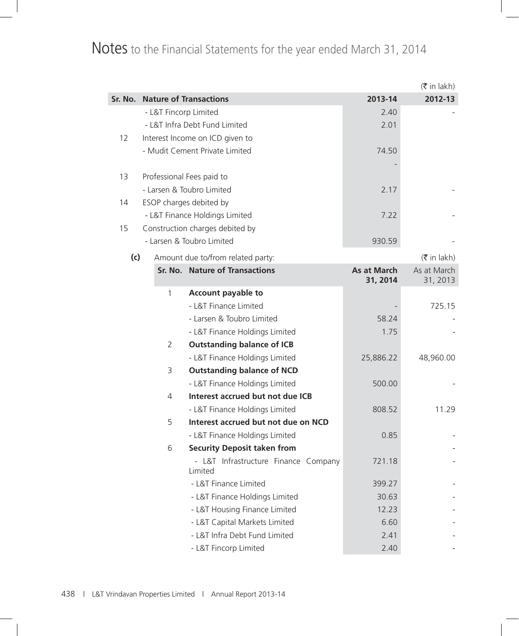# Notes to the Financial Statements for the year ended March 31, 2014

|         |                               |                                                 |                    | $(\bar{\bar{\mathbf{x}}}$ in lakh) |
|---------|-------------------------------|-------------------------------------------------|--------------------|------------------------------------|
| Sr. No. |                               | <b>Nature of Transactions</b>                   | 2013-14            | 2012-13                            |
|         | - L&T Fincorp Limited         |                                                 | 2.40               |                                    |
|         | - L&T Infra Debt Fund Limited |                                                 | 2.01               |                                    |
| 12      |                               | Interest Income on ICD given to                 |                    |                                    |
|         |                               | - Mudit Cement Private Limited                  | 74.50              |                                    |
|         |                               |                                                 |                    |                                    |
| 13      |                               | Professional Fees paid to                       |                    |                                    |
|         |                               | - Larsen & Toubro Limited                       | 2.17               |                                    |
| 14      |                               | ESOP charges debited by                         |                    |                                    |
|         |                               | - L&T Finance Holdings Limited                  | 7.22               |                                    |
| 15      |                               | Construction charges debited by                 |                    |                                    |
|         |                               | - Larsen & Toubro Limited                       | 930.59             |                                    |
| (c)     |                               | Amount due to/from related party:               |                    | $(\bar{\bar{\mathbf{x}}}$ in lakh) |
|         |                               | Sr. No. Nature of Transactions                  | <b>As at March</b> | As at March                        |
|         |                               |                                                 | 31, 2014           | 31, 2013                           |
|         | 1                             | <b>Account payable to</b>                       |                    |                                    |
|         |                               | - L&T Finance Limited                           |                    | 725.15                             |
|         |                               | - Larsen & Toubro Limited                       | 58.24              |                                    |
|         |                               | - L&T Finance Holdings Limited                  | 1.75               |                                    |
|         | 2                             | <b>Outstanding balance of ICB</b>               |                    |                                    |
|         |                               | - L&T Finance Holdings Limited                  | 25,886.22          | 48,960.00                          |
|         | 3                             | <b>Outstanding balance of NCD</b>               |                    |                                    |
|         |                               | - L&T Finance Holdings Limited                  | 500.00             |                                    |
|         | $\overline{4}$                | Interest accrued but not due ICB                |                    |                                    |
|         |                               | - L&T Finance Holdings Limited                  | 808.52             | 11.29                              |
|         | 5                             | Interest accrued but not due on NCD             |                    |                                    |
|         |                               | - L&T Finance Holdings Limited                  | 0.85               |                                    |
|         | 6                             | <b>Security Deposit taken from</b>              |                    |                                    |
|         |                               | - L&T Infrastructure Finance Company<br>Limited | 721.18             |                                    |
|         |                               | - L&T Finance Limited                           | 399.27             |                                    |
|         |                               | - L&T Finance Holdings Limited                  | 30.63              |                                    |
|         |                               | - L&T Housing Finance Limited                   | 12.23              |                                    |
|         |                               | - L&T Capital Markets Limited                   | 6.60               |                                    |
|         |                               | - L&T Infra Debt Fund Limited                   | 2.41               |                                    |
|         |                               | - L&T Fincorp Limited                           | 2.40               |                                    |